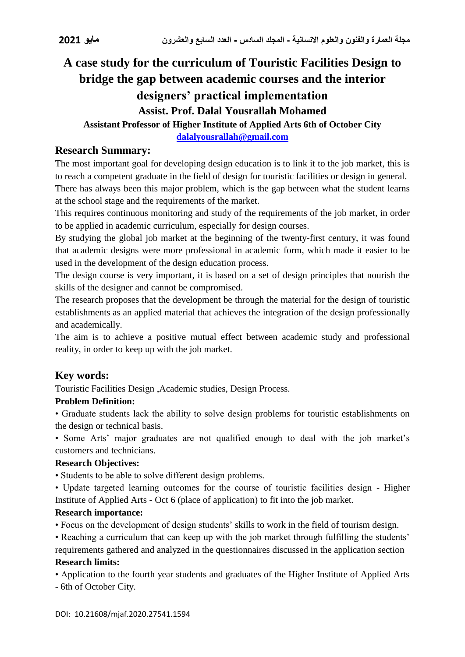# **A case study for the curriculum of Touristic Facilities Design to bridge the gap between academic courses and the interior designers' practical implementation Assist. Prof. Dalal Yousrallah Mohamed**

# **Assistant Professor of Higher Institute of Applied Arts 6th of October City**

**[dalalyousrallah@gmail.com](mailto:dalalyousrallah@gmail.com)**

# **Research Summary:**

The most important goal for developing design education is to link it to the job market, this is to reach a competent graduate in the field of design for touristic facilities or design in general. There has always been this major problem, which is the gap between what the student learns at the school stage and the requirements of the market.

This requires continuous monitoring and study of the requirements of the job market, in order to be applied in academic curriculum, especially for design courses.

By studying the global job market at the beginning of the twenty-first century, it was found that academic designs were more professional in academic form, which made it easier to be used in the development of the design education process.

The design course is very important, it is based on a set of design principles that nourish the skills of the designer and cannot be compromised.

The research proposes that the development be through the material for the design of touristic establishments as an applied material that achieves the integration of the design professionally and academically.

The aim is to achieve a positive mutual effect between academic study and professional reality, in order to keep up with the job market.

# **Key words:**

Touristic Facilities Design ,Academic studies, Design Process.

#### **Problem Definition:**

• Graduate students lack the ability to solve design problems for touristic establishments on the design or technical basis.

• Some Arts' major graduates are not qualified enough to deal with the job market's customers and technicians.

#### **Research Objectives:**

• Students to be able to solve different design problems.

• Update targeted learning outcomes for the course of touristic facilities design - Higher Institute of Applied Arts - Oct 6 (place of application) to fit into the job market.

#### **Research importance:**

• Focus on the development of design students' skills to work in the field of tourism design.

• Reaching a curriculum that can keep up with the job market through fulfilling the students' requirements gathered and analyzed in the questionnaires discussed in the application section **Research limits:**

• Application to the fourth year students and graduates of the Higher Institute of Applied Arts

- 6th of October City.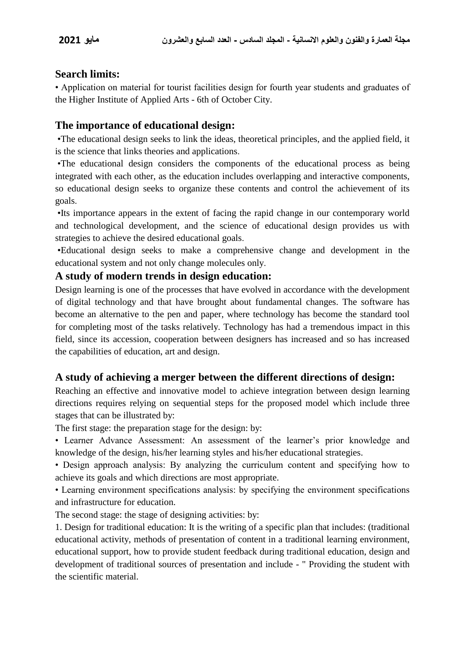# **Search limits:**

• Application on material for tourist facilities design for fourth year students and graduates of the Higher Institute of Applied Arts - 6th of October City.

# **The importance of educational design:**

 •The educational design seeks to link the ideas, theoretical principles, and the applied field, it is the science that links theories and applications.

 •The educational design considers the components of the educational process as being integrated with each other, as the education includes overlapping and interactive components, so educational design seeks to organize these contents and control the achievement of its goals.

 •Its importance appears in the extent of facing the rapid change in our contemporary world and technological development, and the science of educational design provides us with strategies to achieve the desired educational goals.

 •Educational design seeks to make a comprehensive change and development in the educational system and not only change molecules only.

#### **A study of modern trends in design education:**

Design learning is one of the processes that have evolved in accordance with the development of digital technology and that have brought about fundamental changes. The software has become an alternative to the pen and paper, where technology has become the standard tool for completing most of the tasks relatively. Technology has had a tremendous impact in this field, since its accession, cooperation between designers has increased and so has increased the capabilities of education, art and design.

# **A study of achieving a merger between the different directions of design:**

Reaching an effective and innovative model to achieve integration between design learning directions requires relying on sequential steps for the proposed model which include three stages that can be illustrated by:

The first stage: the preparation stage for the design: by:

• Learner Advance Assessment: An assessment of the learner's prior knowledge and knowledge of the design, his/her learning styles and his/her educational strategies.

• Design approach analysis: By analyzing the curriculum content and specifying how to achieve its goals and which directions are most appropriate.

• Learning environment specifications analysis: by specifying the environment specifications and infrastructure for education.

The second stage: the stage of designing activities: by:

1. Design for traditional education: It is the writing of a specific plan that includes: (traditional educational activity, methods of presentation of content in a traditional learning environment, educational support, how to provide student feedback during traditional education, design and development of traditional sources of presentation and include - " Providing the student with the scientific material.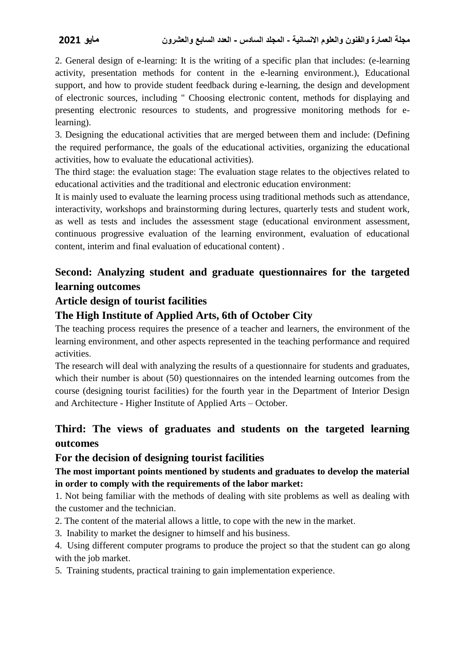2. General design of e-learning: It is the writing of a specific plan that includes: (e-learning activity, presentation methods for content in the e-learning environment.), Educational support, and how to provide student feedback during e-learning, the design and development of electronic sources, including " Choosing electronic content, methods for displaying and presenting electronic resources to students, and progressive monitoring methods for elearning).

3. Designing the educational activities that are merged between them and include: (Defining the required performance, the goals of the educational activities, organizing the educational activities, how to evaluate the educational activities).

The third stage: the evaluation stage: The evaluation stage relates to the objectives related to educational activities and the traditional and electronic education environment:

It is mainly used to evaluate the learning process using traditional methods such as attendance, interactivity, workshops and brainstorming during lectures, quarterly tests and student work, as well as tests and includes the assessment stage (educational environment assessment, continuous progressive evaluation of the learning environment, evaluation of educational content, interim and final evaluation of educational content) .

# **Second: Analyzing student and graduate questionnaires for the targeted learning outcomes**

# **Article design of tourist facilities**

# **The High Institute of Applied Arts, 6th of October City**

The teaching process requires the presence of a teacher and learners, the environment of the learning environment, and other aspects represented in the teaching performance and required activities.

The research will deal with analyzing the results of a questionnaire for students and graduates, which their number is about (50) questionnaires on the intended learning outcomes from the course (designing tourist facilities) for the fourth year in the Department of Interior Design and Architecture - Higher Institute of Applied Arts – October.

# **Third: The views of graduates and students on the targeted learning outcomes**

# **For the decision of designing tourist facilities**

# **The most important points mentioned by students and graduates to develop the material in order to comply with the requirements of the labor market:**

1. Not being familiar with the methods of dealing with site problems as well as dealing with the customer and the technician.

- 2. The content of the material allows a little, to cope with the new in the market.
- 3. Inability to market the designer to himself and his business.
- 4. Using different computer programs to produce the project so that the student can go along with the job market.
- 5. Training students, practical training to gain implementation experience.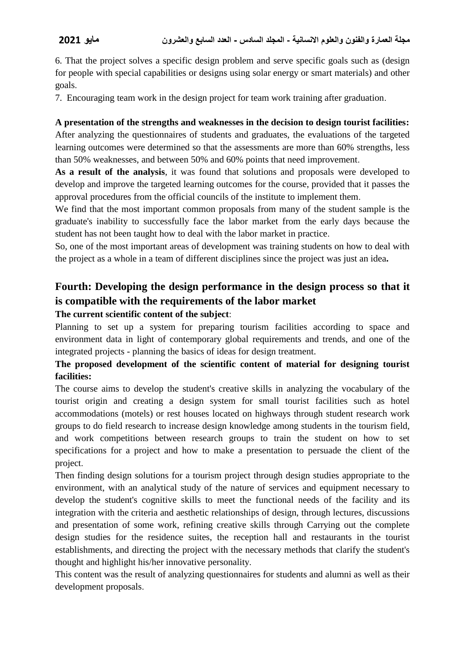6. That the project solves a specific design problem and serve specific goals such as (design for people with special capabilities or designs using solar energy or smart materials) and other goals.

7. Encouraging team work in the design project for team work training after graduation.

#### **A presentation of the strengths and weaknesses in the decision to design tourist facilities:**

After analyzing the questionnaires of students and graduates, the evaluations of the targeted learning outcomes were determined so that the assessments are more than 60% strengths, less than 50% weaknesses, and between 50% and 60% points that need improvement.

**As a result of the analysis**, it was found that solutions and proposals were developed to develop and improve the targeted learning outcomes for the course, provided that it passes the approval procedures from the official councils of the institute to implement them.

We find that the most important common proposals from many of the student sample is the graduate's inability to successfully face the labor market from the early days because the student has not been taught how to deal with the labor market in practice.

So, one of the most important areas of development was training students on how to deal with the project as a whole in a team of different disciplines since the project was just an idea**.**

# **Fourth: Developing the design performance in the design process so that it is compatible with the requirements of the labor market**

#### **The current scientific content of the subject**:

Planning to set up a system for preparing tourism facilities according to space and environment data in light of contemporary global requirements and trends, and one of the integrated projects - planning the basics of ideas for design treatment.

# **The proposed development of the scientific content of material for designing tourist facilities:**

The course aims to develop the student's creative skills in analyzing the vocabulary of the tourist origin and creating a design system for small tourist facilities such as hotel accommodations (motels) or rest houses located on highways through student research work groups to do field research to increase design knowledge among students in the tourism field, and work competitions between research groups to train the student on how to set specifications for a project and how to make a presentation to persuade the client of the project.

Then finding design solutions for a tourism project through design studies appropriate to the environment, with an analytical study of the nature of services and equipment necessary to develop the student's cognitive skills to meet the functional needs of the facility and its integration with the criteria and aesthetic relationships of design, through lectures, discussions and presentation of some work, refining creative skills through Carrying out the complete design studies for the residence suites, the reception hall and restaurants in the tourist establishments, and directing the project with the necessary methods that clarify the student's thought and highlight his/her innovative personality.

This content was the result of analyzing questionnaires for students and alumni as well as their development proposals.